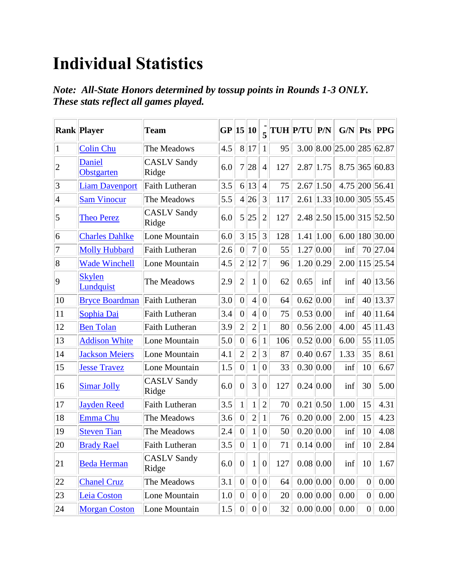## **Individual Statistics**

*Note: All-State Honors determined by tossup points in Rounds 1-3 ONLY. These stats reflect all games played.*

|                | <b>Rank Player</b>          | <b>Team</b>                 | GP  | 15               | $ 10\rangle$     | $\overline{\mathbf{5}}$ |           | <b>TUH P/TU</b> | P/N         | G/N                               | <b>Pts</b>       | <b>PPG</b>    |
|----------------|-----------------------------|-----------------------------|-----|------------------|------------------|-------------------------|-----------|-----------------|-------------|-----------------------------------|------------------|---------------|
| 1              | <b>Colin Chu</b>            | The Meadows                 | 4.5 | 8                | 17               | $\mathbf{1}$            | 95        |                 |             | 3.00 8.00 25.00 285 62.87         |                  |               |
| $ 2\>$         | <b>Daniel</b><br>Obstgarten | <b>CASLV</b> Sandy<br>Ridge | 6.0 | $\overline{7}$   | 28               | $\overline{4}$          | 127       | 2.87            | 1.75        | 8.75                              |                  | $ 365 $ 60.83 |
| $\vert$ 3      | <b>Liam Davenport</b>       | Faith Lutheran              | 3.5 | 6                | 13               | $\overline{4}$          | 75        | 2.67            | 1.50        | 4.75                              |                  | 200 56.41     |
| $\vert 4$      | <b>Sam Vinocur</b>          | The Meadows                 | 5.5 | $\overline{4}$   | 26               | 3                       | 117       | 2.61            | 1.33        | 10.00                             |                  | $ 305 $ 55.45 |
| $\overline{5}$ | <b>Theo Perez</b>           | <b>CASLV</b> Sandy<br>Ridge | 6.0 | 5                | 25               | $\overline{2}$          | 127       |                 |             | $2.48$   $2.50$   $15.00$   $315$ |                  | 52.50         |
| 6              | <b>Charles Dahlke</b>       | Lone Mountain               | 6.0 | $\overline{3}$   | 15               | 3                       | 128       | 1.41            | 1.00        | 6.00                              |                  | 180 30.00     |
| $ 7\>$         | <b>Molly Hubbard</b>        | Faith Lutheran              | 2.6 | $\overline{0}$   | 7                | $\overline{0}$          | 55        |                 | 1.27 0.00   | inf                               |                  | 70 27.04      |
| 8              | <b>Wade Winchell</b>        | Lone Mountain               | 4.5 | $\overline{2}$   | 12               | $\overline{7}$          | 96        |                 | 1.20 0.29   | 2.00                              |                  | 115 25.54     |
| 9              | <b>Skylen</b><br>Lundquist  | The Meadows                 | 2.9 | $\overline{2}$   | 1                | $\overline{0}$          | 62        | 0.65            | inf         | inf                               | 40               | 13.56         |
| 10             | <b>Bryce Boardman</b>       | Faith Lutheran              | 3.0 | $\overline{0}$   | $\overline{4}$   | $\overline{0}$          | 64        | 0.62 0.00       |             | inf                               |                  | 40 13.37      |
| 11             | Sophia Dai                  | <b>Faith Lutheran</b>       | 3.4 | $\overline{0}$   | $\overline{4}$   | $\overline{0}$          | 75        | 0.53 0.00       |             | inf                               | 40               | 11.64         |
| 12             | <b>Ben Tolan</b>            | <b>Faith Lutheran</b>       | 3.9 | $\overline{2}$   | $\overline{2}$   | $\mathbf{1}$            | 80        | 0.56 2.00       |             | 4.00                              | 45               | 11.43         |
| 13             | <b>Addison White</b>        | Lone Mountain               | 5.0 | $\boldsymbol{0}$ | 6                | $\mathbf{1}$            | 106       | 0.52 0.00       |             | 6.00                              | 55               | 11.05         |
| 14             | <b>Jackson Meiers</b>       | Lone Mountain               | 4.1 | $\overline{2}$   | $\overline{2}$   | 3                       | 87        | 0.40 0.67       |             | 1.33                              | 35               | 8.61          |
| 15             | <b>Jesse Travez</b>         | Lone Mountain               | 1.5 | $\overline{0}$   | $\mathbf{1}$     | $\boldsymbol{0}$        | 33        | 0.30 0.00       |             | inf                               | 10               | 6.67          |
| 16             | <b>Simar Jolly</b>          | <b>CASLV</b> Sandy<br>Ridge | 6.0 | $\overline{0}$   | 3                | $\overline{0}$          | 127       | 0.24 0.00       |             | inf                               | 30               | 5.00          |
| 17             | <b>Jayden Reed</b>          | <b>Faith Lutheran</b>       | 3.5 | $\mathbf{1}$     | 1                | $\overline{2}$          | 70        |                 | $0.21$ 0.50 | 1.00                              | 15               | 4.31          |
| 18             | <b>Emma Chu</b>             | The Meadows                 | 3.6 | $\boldsymbol{0}$ | $\overline{2}$   | $\mathbf{1}$            | 76        | 0.20 0.00       |             | 2.00                              | 15               | 4.23          |
| 19             | <b>Steven Tian</b>          | The Meadows                 | 2.4 | $\overline{0}$   | $\mathbf{1}$     | $\overline{0}$          | 50        | 0.20 0.00       |             | inf                               | 10               | 4.08          |
| $ 20\rangle$   | <b>Brady Rael</b>           | <b>Faith Lutheran</b>       | 3.5 | $\boldsymbol{0}$ | $1\vert$         | 0                       | $71\Vert$ |                 | 0.14 0.00   | inf                               | 10               | 2.84          |
| 21             | <b>Beda Herman</b>          | <b>CASLV Sandy</b><br>Ridge | 6.0 | $\boldsymbol{0}$ | $\mathbf{1}$     | $\overline{0}$          | 127       | 0.08 0.00       |             | inf                               | 10               | 1.67          |
| $ 22\rangle$   | <b>Chanel Cruz</b>          | The Meadows                 | 3.1 | $\boldsymbol{0}$ | $\overline{0}$   | $\boldsymbol{0}$        | 64        | 0.00 0.00       |             | 0.00                              | $\boldsymbol{0}$ | 0.00          |
| 23             | Leia Coston                 | Lone Mountain               | 1.0 | $\boldsymbol{0}$ | $\boldsymbol{0}$ | $\boldsymbol{0}$        | 20        | 0.00 0.00       |             | 0.00                              | $\boldsymbol{0}$ | 0.00          |
| 24             | <b>Morgan Coston</b>        | Lone Mountain               | 1.5 | $\boldsymbol{0}$ | 0                | $\boldsymbol{0}$        | 32        | 0.00 0.00       |             | 0.00                              | $\boldsymbol{0}$ | 0.00          |